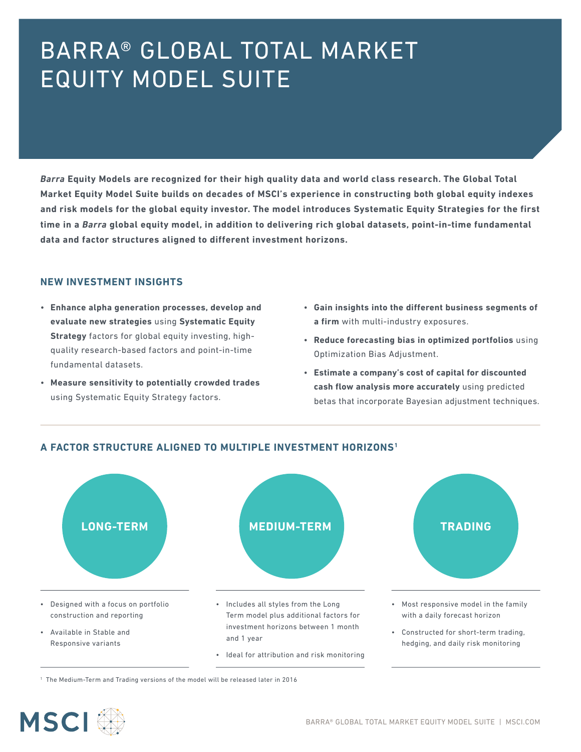# BARRA® GLOBAL TOTAL MARKET EQUITY MODEL SUITE

*Barra* **Equity Models are recognized for their high quality data and world class research. The Global Total Market Equity Model Suite builds on decades of MSCI's experience in constructing both global equity indexes and risk models for the global equity investor. The model introduces Systematic Equity Strategies for the first time in a** *Barra* **global equity model, in addition to delivering rich global datasets, point-in-time fundamental data and factor structures aligned to different investment horizons.** 

#### **NEW INVESTMENT INSIGHTS**

- **Enhance alpha generation processes, develop and evaluate new strategies** using **Systematic Equity Strategy** factors for global equity investing, highquality research-based factors and point-in-time fundamental datasets.
- **Measure sensitivity to potentially crowded trades** using Systematic Equity Strategy factors.
- **Gain insights into the different business segments of a firm** with multi-industry exposures.
- **Reduce forecasting bias in optimized portfolios** using Optimization Bias Adjustment.
- **Estimate a company's cost of capital for discounted cash flow analysis more accurately** using predicted betas that incorporate Bayesian adjustment techniques.





1 The Medium-Term and Trading versions of the model will be released later in 2016

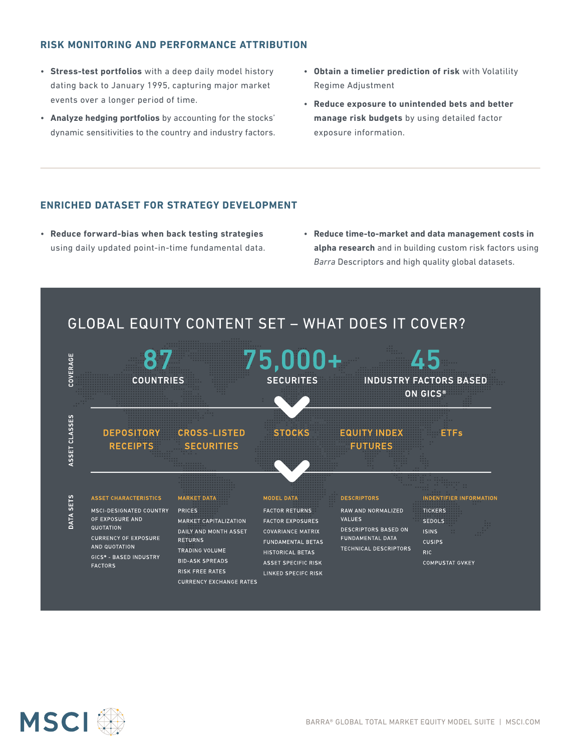### **RISK MONITORING AND PERFORMANCE ATTRIBUTION**

- **Stress-test portfolios** with a deep daily model history dating back to January 1995, capturing major market events over a longer period of time.
- **Analyze hedging portfolios** by accounting for the stocks' dynamic sensitivities to the country and industry factors.
- **Obtain a timelier prediction of risk** with Volatility Regime Adjustment
- **Reduce exposure to unintended bets and better manage risk budgets** by using detailed factor exposure information.

### **ENRICHED DATASET FOR STRATEGY DEVELOPMENT**

- **Reduce forward-bias when back testing strategies**  using daily updated point-in-time fundamental data.
- **Reduce time-to-market and data management costs in alpha research** and in building custom risk factors using *Barra* Descriptors and high quality global datasets.